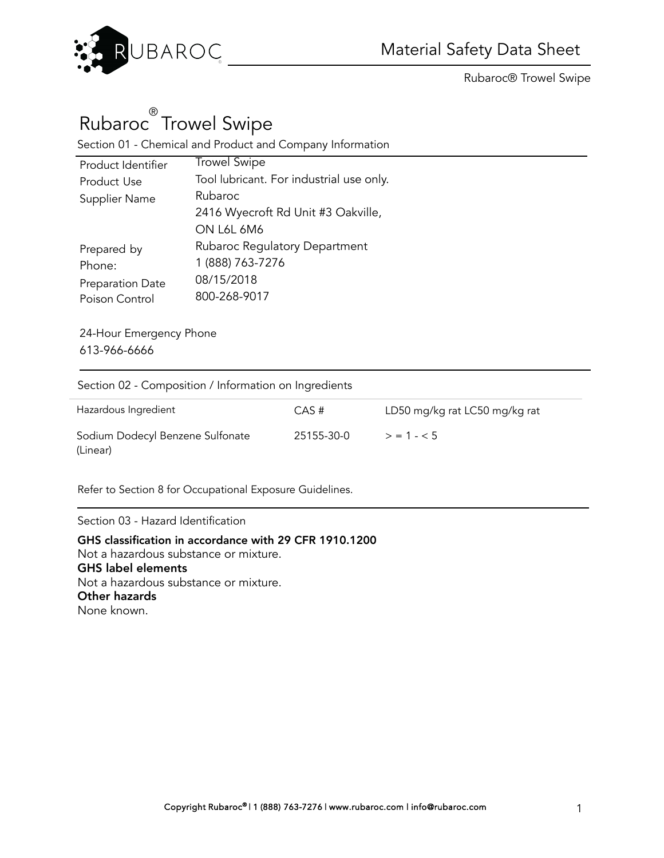

# Rubaroc® Trowel Swipe

Section 01 - Chemical and Product and Company Information

| Product Identifier | <b>Trowel Swipe</b>                      |
|--------------------|------------------------------------------|
| Product Use        | Tool lubricant. For industrial use only. |
| Supplier Name      | Rubaroc                                  |
|                    | 2416 Wyecroft Rd Unit #3 Oakville,       |
|                    | ON L6L 6M6                               |
| Prepared by        | <b>Rubaroc Regulatory Department</b>     |
| Phone:             | 1 (888) 763-7276                         |
| Preparation Date   | 08/15/2018                               |
| Poison Control     | 800-268-9017                             |
|                    |                                          |

24-Hour Emergency Phone 613-966-6666

Section 02 - Composition / Information on Ingredients

| Hazardous Ingredient                         | CAS#       | LD50 mg/kg rat LC50 mg/kg rat |
|----------------------------------------------|------------|-------------------------------|
| Sodium Dodecyl Benzene Sulfonate<br>(Linear) | 25155-30-0 | $> 1 - 5$                     |

Refer to Section 8 for Occupational Exposure Guidelines.

Section 03 - Hazard Identification

GHS classification in accordance with 29 CFR 1910.1200 Not a hazardous substance or mixture. GHS label elements Not a hazardous substance or mixture. Other hazards None known.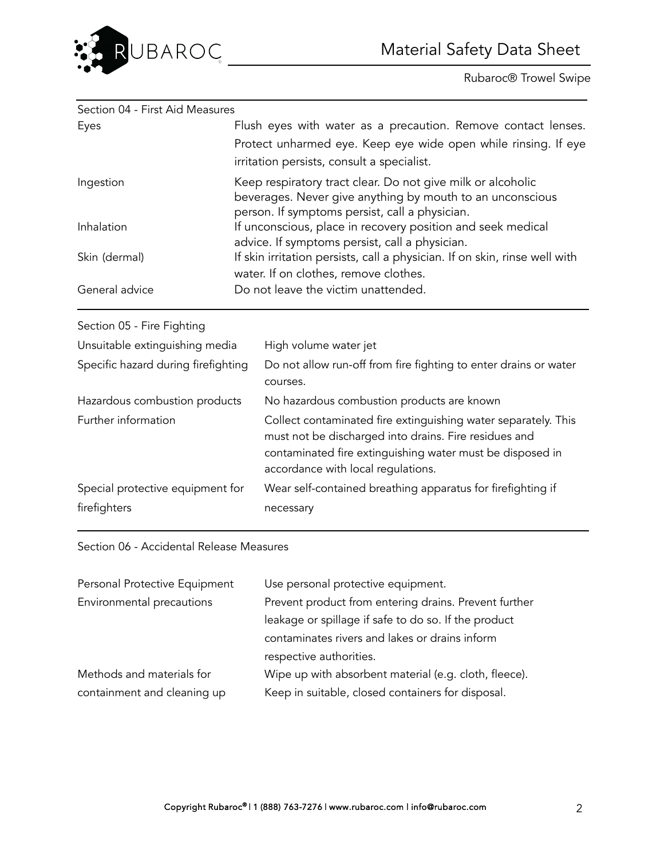

| Section 04 - First Aid Measures     |  |                                                                                                                                                                                                                            |
|-------------------------------------|--|----------------------------------------------------------------------------------------------------------------------------------------------------------------------------------------------------------------------------|
| Eyes                                |  | Flush eyes with water as a precaution. Remove contact lenses.                                                                                                                                                              |
|                                     |  | Protect unharmed eye. Keep eye wide open while rinsing. If eye                                                                                                                                                             |
|                                     |  | irritation persists, consult a specialist.                                                                                                                                                                                 |
| Ingestion                           |  | Keep respiratory tract clear. Do not give milk or alcoholic<br>beverages. Never give anything by mouth to an unconscious<br>person. If symptoms persist, call a physician.                                                 |
| Inhalation                          |  | If unconscious, place in recovery position and seek medical<br>advice. If symptoms persist, call a physician.                                                                                                              |
| Skin (dermal)                       |  | If skin irritation persists, call a physician. If on skin, rinse well with<br>water. If on clothes, remove clothes.                                                                                                        |
| General advice                      |  | Do not leave the victim unattended.                                                                                                                                                                                        |
| Section 05 - Fire Fighting          |  |                                                                                                                                                                                                                            |
| Unsuitable extinguishing media      |  | High volume water jet                                                                                                                                                                                                      |
| Specific hazard during firefighting |  | Do not allow run-off from fire fighting to enter drains or water<br>courses.                                                                                                                                               |
| Hazardous combustion products       |  | No hazardous combustion products are known                                                                                                                                                                                 |
| Further information                 |  | Collect contaminated fire extinguishing water separately. This<br>must not be discharged into drains. Fire residues and<br>contaminated fire extinguishing water must be disposed in<br>accordance with local regulations. |
| Special protective equipment for    |  | Wear self-contained breathing apparatus for firefighting if                                                                                                                                                                |
| firefighters                        |  | necessary                                                                                                                                                                                                                  |

#### Section 06 - Accidental Release Measures

| Personal Protective Equipment | Use personal protective equipment.                    |
|-------------------------------|-------------------------------------------------------|
| Environmental precautions     | Prevent product from entering drains. Prevent further |
|                               | leakage or spillage if safe to do so. If the product  |
|                               | contaminates rivers and lakes or drains inform        |
|                               | respective authorities.                               |
| Methods and materials for     | Wipe up with absorbent material (e.g. cloth, fleece). |
| containment and cleaning up   | Keep in suitable, closed containers for disposal.     |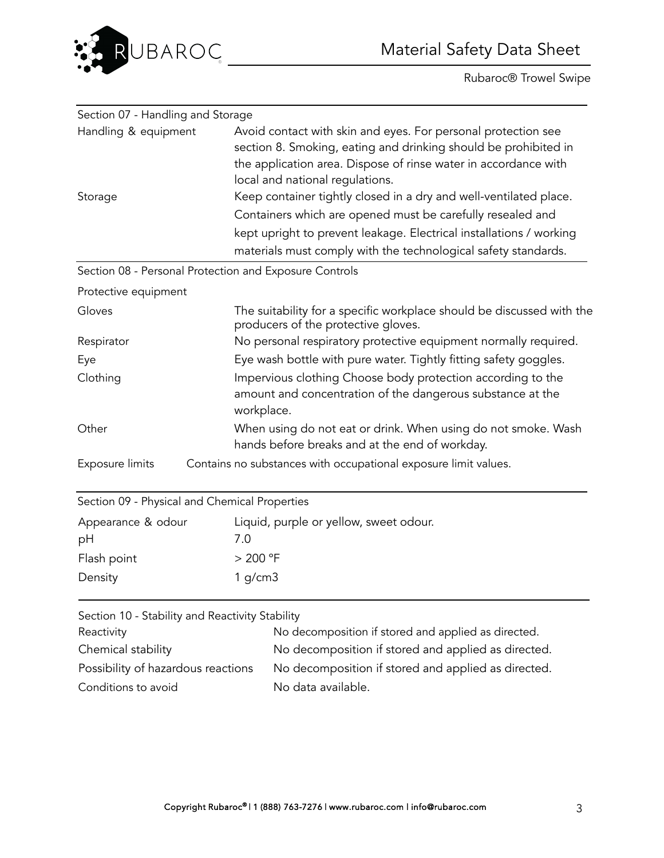



| Section 07 - Handling and Storage                      |                                                                                                                                                                                                                                        |
|--------------------------------------------------------|----------------------------------------------------------------------------------------------------------------------------------------------------------------------------------------------------------------------------------------|
| Handling & equipment                                   | Avoid contact with skin and eyes. For personal protection see<br>section 8. Smoking, eating and drinking should be prohibited in<br>the application area. Dispose of rinse water in accordance with<br>local and national regulations. |
| Storage                                                | Keep container tightly closed in a dry and well-ventilated place.                                                                                                                                                                      |
|                                                        | Containers which are opened must be carefully resealed and                                                                                                                                                                             |
|                                                        | kept upright to prevent leakage. Electrical installations / working                                                                                                                                                                    |
|                                                        | materials must comply with the technological safety standards.                                                                                                                                                                         |
| Section 08 - Personal Protection and Exposure Controls |                                                                                                                                                                                                                                        |
| Protective equipment                                   |                                                                                                                                                                                                                                        |
| Gloves                                                 | The suitability for a specific workplace should be discussed with the<br>producers of the protective gloves.                                                                                                                           |
| Respirator                                             | No personal respiratory protective equipment normally required.                                                                                                                                                                        |
| Eye                                                    | Eye wash bottle with pure water. Tightly fitting safety goggles.                                                                                                                                                                       |
| Clothing                                               | Impervious clothing Choose body protection according to the<br>amount and concentration of the dangerous substance at the<br>workplace.                                                                                                |
| Other                                                  | When using do not eat or drink. When using do not smoke. Wash<br>hands before breaks and at the end of workday.                                                                                                                        |
| Exposure limits                                        | Contains no substances with occupational exposure limit values.                                                                                                                                                                        |
| Section 09 - Physical and Chemical Properties          |                                                                                                                                                                                                                                        |
| Appearance & odour                                     | Liquid, purple or yellow, sweet odour.                                                                                                                                                                                                 |
| pH                                                     | 7.0                                                                                                                                                                                                                                    |
| Flash point                                            | > 200 °F                                                                                                                                                                                                                               |
| Density                                                | $1$ g/cm $3$                                                                                                                                                                                                                           |
| Section 10 - Stability and Reactivity Stability        |                                                                                                                                                                                                                                        |

| Reactivity                         | No decomposition if stored and applied as directed. |
|------------------------------------|-----------------------------------------------------|
| Chemical stability                 | No decomposition if stored and applied as directed. |
| Possibility of hazardous reactions | No decomposition if stored and applied as directed. |
| Conditions to avoid                | No data available.                                  |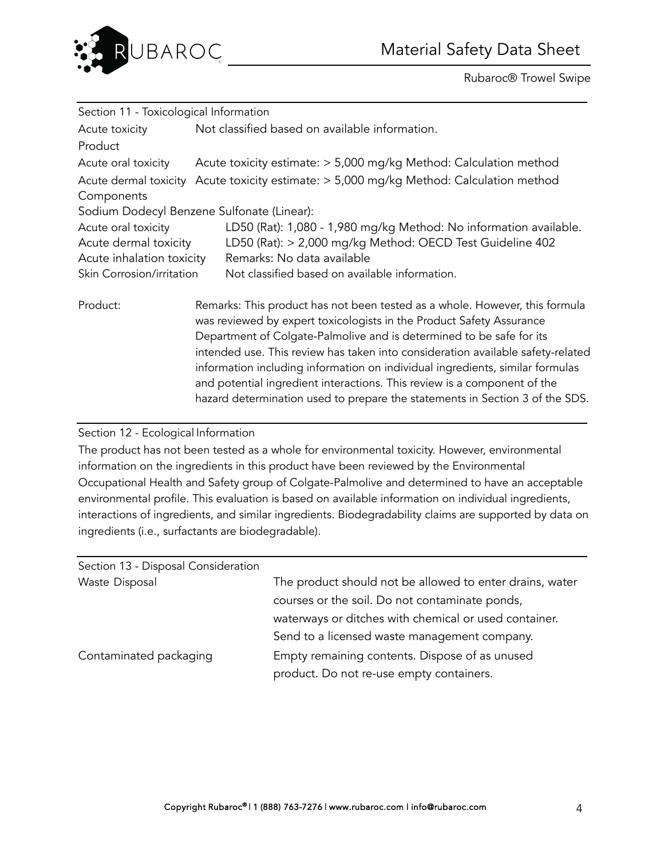

| Section 11 - Toxicological Information |                                                                                                                                                                                                                                                                                                                                                                                                                                                                                                                                                             |
|----------------------------------------|-------------------------------------------------------------------------------------------------------------------------------------------------------------------------------------------------------------------------------------------------------------------------------------------------------------------------------------------------------------------------------------------------------------------------------------------------------------------------------------------------------------------------------------------------------------|
| Acute toxicity                         | Not classified based on available information.                                                                                                                                                                                                                                                                                                                                                                                                                                                                                                              |
| Product                                |                                                                                                                                                                                                                                                                                                                                                                                                                                                                                                                                                             |
| Acute oral toxicity                    | Acute toxicity estimate: > 5,000 mg/kg Method: Calculation method                                                                                                                                                                                                                                                                                                                                                                                                                                                                                           |
| Components                             | Acute dermal toxicity Acute toxicity estimate: > 5,000 mg/kg Method: Calculation method                                                                                                                                                                                                                                                                                                                                                                                                                                                                     |
|                                        | Sodium Dodecyl Benzene Sulfonate (Linear):                                                                                                                                                                                                                                                                                                                                                                                                                                                                                                                  |
| Acute oral toxicity                    | LD50 (Rat): 1,080 - 1,980 mg/kg Method: No information available.                                                                                                                                                                                                                                                                                                                                                                                                                                                                                           |
| Acute dermal toxicity                  | LD50 (Rat): > 2,000 mg/kg Method: OECD Test Guideline 402                                                                                                                                                                                                                                                                                                                                                                                                                                                                                                   |
| Acute inhalation toxicity              | Remarks: No data available                                                                                                                                                                                                                                                                                                                                                                                                                                                                                                                                  |
| Skin Corrosion/irritation              | Not classified based on available information.                                                                                                                                                                                                                                                                                                                                                                                                                                                                                                              |
| Product:                               | Remarks: This product has not been tested as a whole. However, this formula<br>was reviewed by expert toxicologists in the Product Safety Assurance<br>Department of Colgate-Palmolive and is determined to be safe for its<br>intended use. This review has taken into consideration available safety-related<br>information including information on individual ingredients, similar formulas<br>and potential ingredient interactions. This review is a component of the<br>hazard determination used to prepare the statements in Section 3 of the SDS. |

## Section 12 - Ecological Information

The product has not been tested as a whole for environmental toxicity. However, environmental information on the ingredients in this product have been reviewed by the Environmental Occupational Health and Safety group of Colgate-Palmolive and determined to have an acceptable environmental profile. This evaluation is based on available information on individual ingredients, interactions of ingredients, and similar ingredients. Biodegradability claims are supported by data on ingredients (i.e., surfactants are biodegradable).

| Section 13 - Disposal Consideration |                                                          |
|-------------------------------------|----------------------------------------------------------|
| Waste Disposal                      | The product should not be allowed to enter drains, water |
|                                     | courses or the soil. Do not contaminate ponds,           |
|                                     | waterways or ditches with chemical or used container.    |
|                                     | Send to a licensed waste management company.             |
| Contaminated packaging              | Empty remaining contents. Dispose of as unused           |
|                                     | product. Do not re-use empty containers.                 |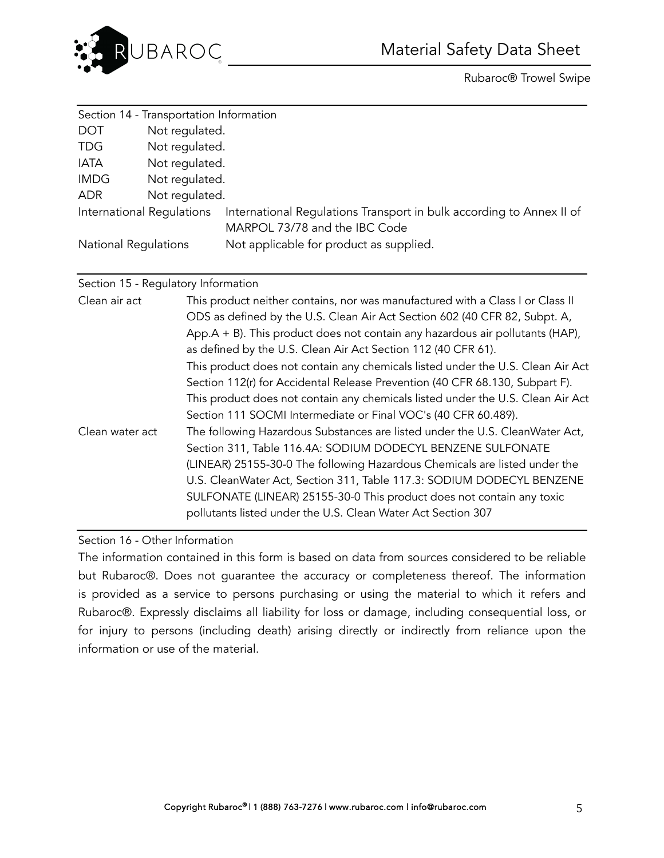

|                             | Section 14 - Transportation Information |                                                                                                       |
|-----------------------------|-----------------------------------------|-------------------------------------------------------------------------------------------------------|
| <b>DOT</b>                  | Not regulated.                          |                                                                                                       |
| <b>TDG</b>                  | Not regulated.                          |                                                                                                       |
| IATA                        | Not regulated.                          |                                                                                                       |
| <b>IMDG</b>                 | Not regulated.                          |                                                                                                       |
| <b>ADR</b>                  | Not regulated.                          |                                                                                                       |
|                             | International Regulations               | International Regulations Transport in bulk according to Annex II of<br>MARPOL 73/78 and the IBC Code |
| <b>National Regulations</b> |                                         | Not applicable for product as supplied.                                                               |

## Section 15 - Regulatory Information

| Clean air act   | This product neither contains, nor was manufactured with a Class I or Class II    |
|-----------------|-----------------------------------------------------------------------------------|
|                 | ODS as defined by the U.S. Clean Air Act Section 602 (40 CFR 82, Subpt. A,        |
|                 | App. $A + B$ ). This product does not contain any hazardous air pollutants (HAP), |
|                 | as defined by the U.S. Clean Air Act Section 112 (40 CFR 61).                     |
|                 | This product does not contain any chemicals listed under the U.S. Clean Air Act   |
|                 | Section 112(r) for Accidental Release Prevention (40 CFR 68.130, Subpart F).      |
|                 | This product does not contain any chemicals listed under the U.S. Clean Air Act   |
|                 | Section 111 SOCMI Intermediate or Final VOC's (40 CFR 60.489).                    |
| Clean water act | The following Hazardous Substances are listed under the U.S. CleanWater Act,      |
|                 | Section 311, Table 116.4A: SODIUM DODECYL BENZENE SULFONATE                       |
|                 | (LINEAR) 25155-30-0 The following Hazardous Chemicals are listed under the        |
|                 | U.S. CleanWater Act, Section 311, Table 117.3: SODIUM DODECYL BENZENE             |
|                 | SULFONATE (LINEAR) 25155-30-0 This product does not contain any toxic             |
|                 | pollutants listed under the U.S. Clean Water Act Section 307                      |
|                 |                                                                                   |

## Section 16 - Other Information

The information contained in this form is based on data from sources considered to be reliable but Rubaroc®. Does not guarantee the accuracy or completeness thereof. The information is provided as a service to persons purchasing or using the material to which it refers and Rubaroc®. Expressly disclaims all liability for loss or damage, including consequential loss, or for injury to persons (including death) arising directly or indirectly from reliance upon the information or use of the material.